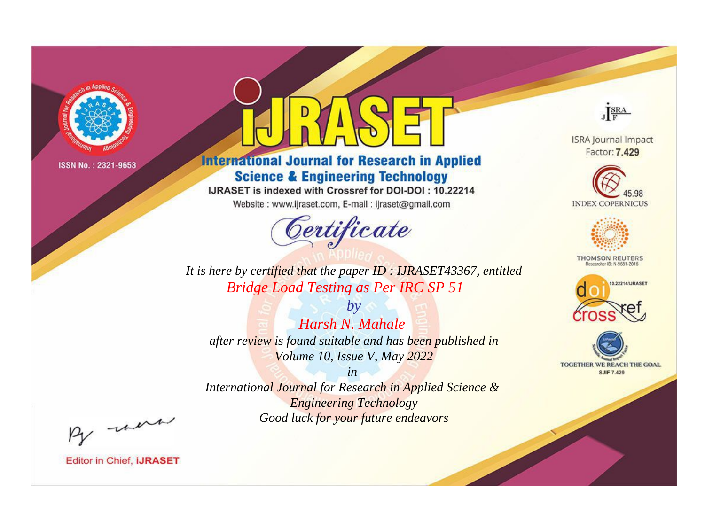

# **International Journal for Research in Applied Science & Engineering Technology**

IJRASET is indexed with Crossref for DOI-DOI: 10.22214

Website: www.ijraset.com, E-mail: ijraset@gmail.com



JERA

**ISRA Journal Impact** Factor: 7.429





**THOMSON REUTERS** 



TOGETHER WE REACH THE GOAL **SJIF 7.429** 

*It is here by certified that the paper ID : IJRASET43367, entitled Bridge Load Testing as Per IRC SP 51*

*by Harsh N. Mahale after review is found suitable and has been published in Volume 10, Issue V, May 2022*

*in* 

*International Journal for Research in Applied Science & Engineering Technology Good luck for your future endeavors*

By morn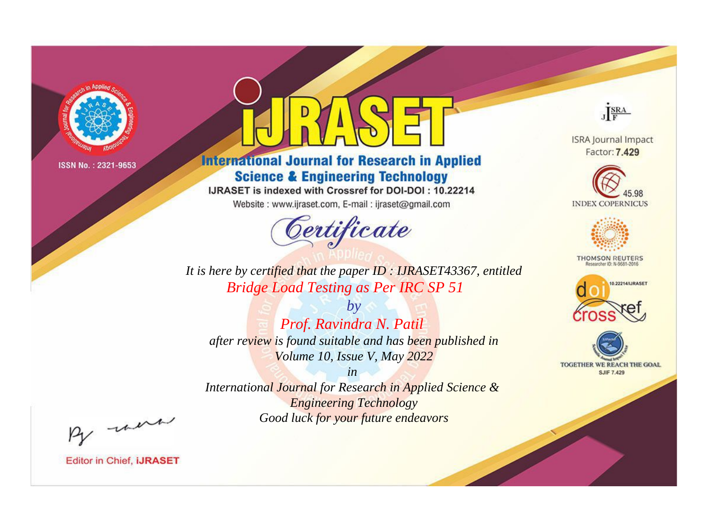

# **International Journal for Research in Applied Science & Engineering Technology**

IJRASET is indexed with Crossref for DOI-DOI: 10.22214

Website: www.ijraset.com, E-mail: ijraset@gmail.com



JERA

**ISRA Journal Impact** Factor: 7.429





**THOMSON REUTERS** 



TOGETHER WE REACH THE GOAL **SJIF 7.429** 

It is here by certified that the paper ID: IJRASET43367, entitled **Bridge Load Testing as Per IRC SP 51** 

 $b\nu$ Prof. Ravindra N. Patil after review is found suitable and has been published in Volume 10, Issue V, May 2022

 $in$ International Journal for Research in Applied Science & **Engineering Technology** Good luck for your future endeavors

By morn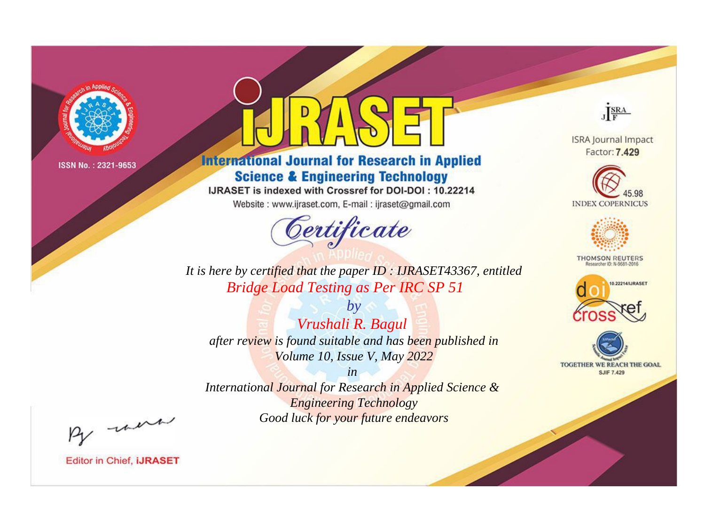

# **International Journal for Research in Applied Science & Engineering Technology**

IJRASET is indexed with Crossref for DOI-DOI: 10.22214

Website: www.ijraset.com, E-mail: ijraset@gmail.com



JERA

**ISRA Journal Impact** Factor: 7.429





**THOMSON REUTERS** 



TOGETHER WE REACH THE GOAL **SJIF 7.429** 

*It is here by certified that the paper ID : IJRASET43367, entitled Bridge Load Testing as Per IRC SP 51*

*Vrushali R. Bagul after review is found suitable and has been published in Volume 10, Issue V, May 2022*

*by*

*in* 

*International Journal for Research in Applied Science & Engineering Technology Good luck for your future endeavors*

By morn